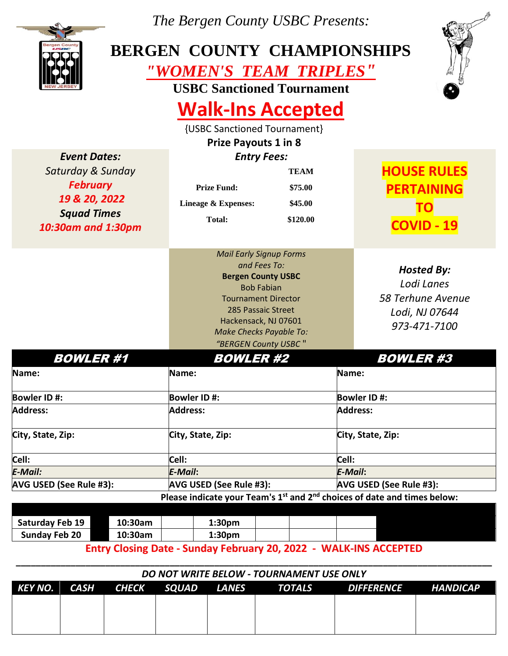

*The Bergen County USBC Presents:*

## **BERGEN COUNTY CHAMPIONSHIPS**  *"WOMEN'S TEAM TRIPLES"*

**USBC Sanctioned Tournament** 



# **Walk-Ins Accepted**

{USBC Sanctioned Tournament}

|                                                                                                                          | <b>Prize Payouts 1 in 8</b>                                                                                                                                                                                                            |                                               |                                                                                                  |  |  |
|--------------------------------------------------------------------------------------------------------------------------|----------------------------------------------------------------------------------------------------------------------------------------------------------------------------------------------------------------------------------------|-----------------------------------------------|--------------------------------------------------------------------------------------------------|--|--|
| <b>Event Dates:</b><br>Saturday & Sunday<br><b>February</b><br>19 & 20, 2022<br><b>Squad Times</b><br>10:30am and 1:30pm | <b>Entry Fees:</b><br><b>Prize Fund:</b><br>Lineage & Expenses:<br><b>Total:</b>                                                                                                                                                       | <b>TEAM</b><br>\$75.00<br>\$45.00<br>\$120.00 | <b>HOUSE RULES</b><br><b>PERTAINING</b><br>ΤO<br><b>COVID - 19</b>                               |  |  |
|                                                                                                                          | <b>Mail Early Signup Forms</b><br>and Fees To:<br><b>Bergen County USBC</b><br><b>Bob Fabian</b><br><b>Tournament Director</b><br>285 Passaic Street<br>Hackensack, NJ 07601<br><b>Make Checks Payable To:</b><br>"BERGEN County USBC" |                                               | <b>Hosted By:</b><br>Lodi Lanes<br>58 Terhune Avenue<br>Lodi, NJ 07644<br>973-471-7100           |  |  |
| <b>BOWLER#1</b>                                                                                                          | <b>BOWLER #2</b>                                                                                                                                                                                                                       |                                               | <b>BOWLER#3</b>                                                                                  |  |  |
| Name:                                                                                                                    | Name:                                                                                                                                                                                                                                  |                                               | Name:                                                                                            |  |  |
| <b>Bowler ID#:</b><br><b>Address:</b>                                                                                    | <b>Bowler ID#:</b><br><b>Address:</b>                                                                                                                                                                                                  |                                               | <b>Bowler ID#:</b><br><b>Address:</b>                                                            |  |  |
| City, State, Zip:                                                                                                        | City, State, Zip:                                                                                                                                                                                                                      |                                               | City, State, Zip:                                                                                |  |  |
| Cell:                                                                                                                    | Cell:                                                                                                                                                                                                                                  |                                               | Cell:                                                                                            |  |  |
| <b>E-Mail:</b>                                                                                                           | E-Mail:                                                                                                                                                                                                                                |                                               | E-Mail:                                                                                          |  |  |
| AVG USED (See Rule #3):                                                                                                  | AVG USED (See Rule #3):                                                                                                                                                                                                                | AVG USED (See Rule #3):                       |                                                                                                  |  |  |
|                                                                                                                          |                                                                                                                                                                                                                                        |                                               | Please indicate your Team's 1 <sup>st</sup> and 2 <sup>nd</sup> choices of date and times below: |  |  |

| Saturday Feb 19      | 10:30am | 1:30 <sub>pm</sub> |  |  |
|----------------------|---------|--------------------|--|--|
| <b>Sunday Feb 20</b> | 10:30am | 1:30 <sub>pm</sub> |  |  |
|                      |         |                    |  |  |

**Entry Closing Date - Sunday February 20, 2022 - WALK-INS ACCEPTED**

| DO NOT WRITE BELOW - TOURNAMENT USE ONLY |  |                        |  |  |               |                     |  |
|------------------------------------------|--|------------------------|--|--|---------------|---------------------|--|
| KEY NO.                                  |  | CASH CHECK SQUAD LANES |  |  | <b>TOTALS</b> | DIFFERENCE HANDICAP |  |
|                                          |  |                        |  |  |               |                     |  |
|                                          |  |                        |  |  |               |                     |  |
|                                          |  |                        |  |  |               |                     |  |